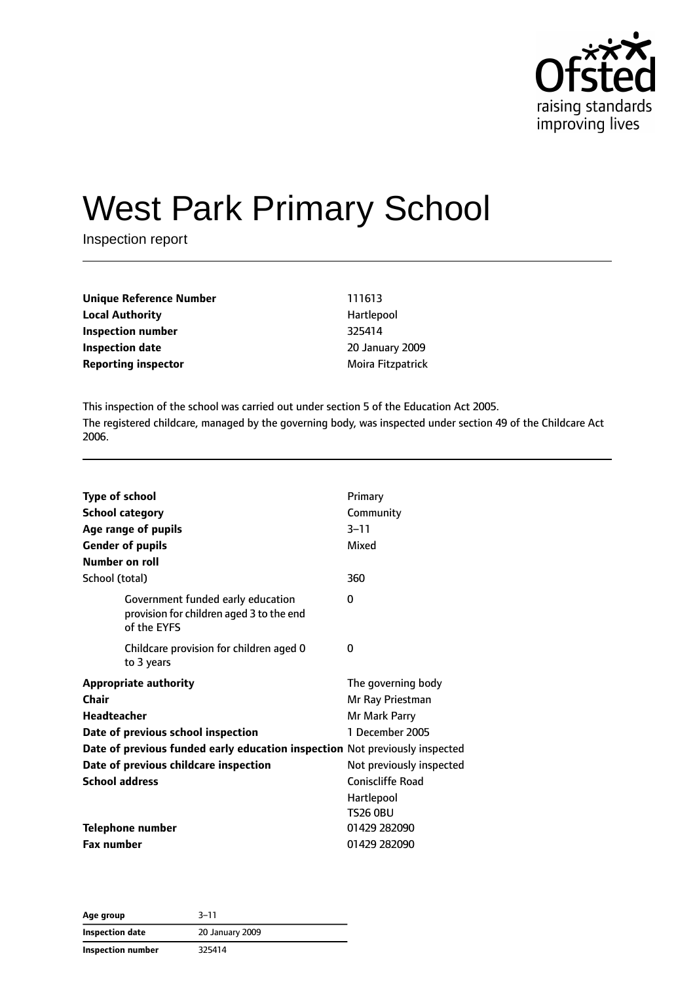

# West Park Primary School

Inspection report

| <b>Unique Reference Number</b>                  | 111613          |
|-------------------------------------------------|-----------------|
| <b>Local Authority</b>                          | Hartlepool      |
| Inspection number                               | 325414          |
| <b>Inspection date</b>                          | 20 January 2009 |
| <b>Reporting inspector</b><br>Moira Fitzpatrick |                 |

This inspection of the school was carried out under section 5 of the Education Act 2005. The registered childcare, managed by the governing body, was inspected under section 49 of the Childcare Act 2006.

| <b>Type of school</b><br><b>School category</b><br>Age range of pupils<br><b>Gender of pupils</b><br>Number on roll | Primary<br>Community<br>$3 - 11$<br>Mixed               |
|---------------------------------------------------------------------------------------------------------------------|---------------------------------------------------------|
| School (total)                                                                                                      | 360                                                     |
| Government funded early education<br>provision for children aged 3 to the end<br>of the EYFS                        | 0                                                       |
| Childcare provision for children aged 0<br>to 3 years                                                               | 0                                                       |
| <b>Appropriate authority</b><br><b>Chair</b><br><b>Headteacher</b>                                                  | The governing body<br>Mr Ray Priestman<br>Mr Mark Parry |
| Date of previous school inspection                                                                                  | 1 December 2005                                         |
| Date of previous funded early education inspection Not previously inspected                                         |                                                         |
| Date of previous childcare inspection                                                                               | Not previously inspected                                |
| <b>School address</b>                                                                                               | <b>Coniscliffe Road</b>                                 |
|                                                                                                                     | Hartlepool<br><b>TS26 0BU</b>                           |
| Telephone number                                                                                                    | 01429 282090                                            |
| <b>Fax number</b>                                                                                                   | 01429 282090                                            |

**Age group** 3–11 **Inspection date** 20 January 2009 **Inspection number** 325414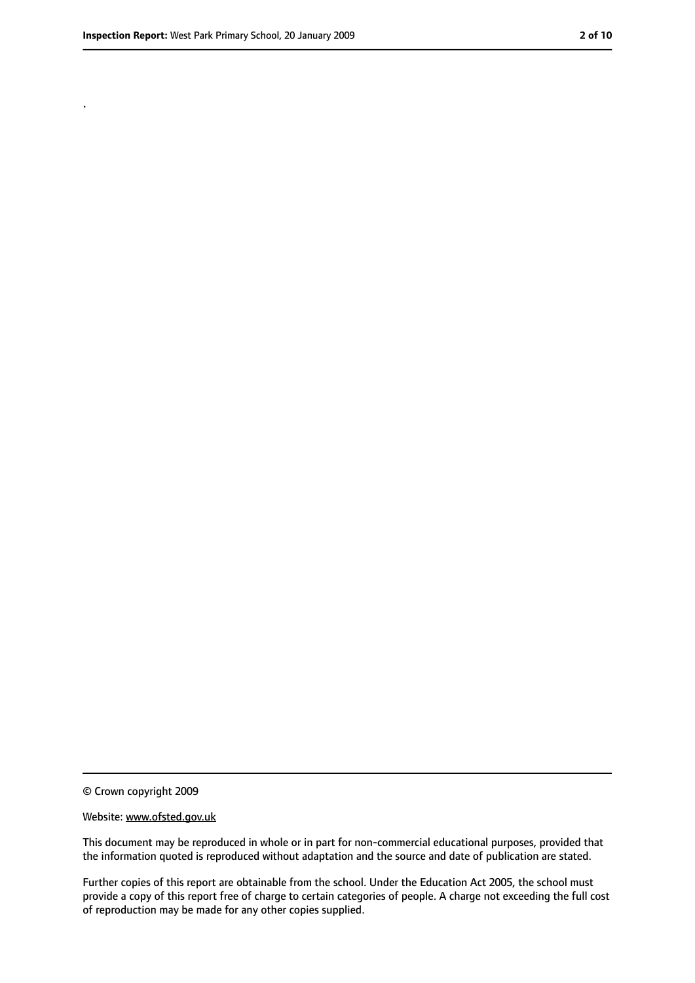.

<sup>©</sup> Crown copyright 2009

Website: www.ofsted.gov.uk

This document may be reproduced in whole or in part for non-commercial educational purposes, provided that the information quoted is reproduced without adaptation and the source and date of publication are stated.

Further copies of this report are obtainable from the school. Under the Education Act 2005, the school must provide a copy of this report free of charge to certain categories of people. A charge not exceeding the full cost of reproduction may be made for any other copies supplied.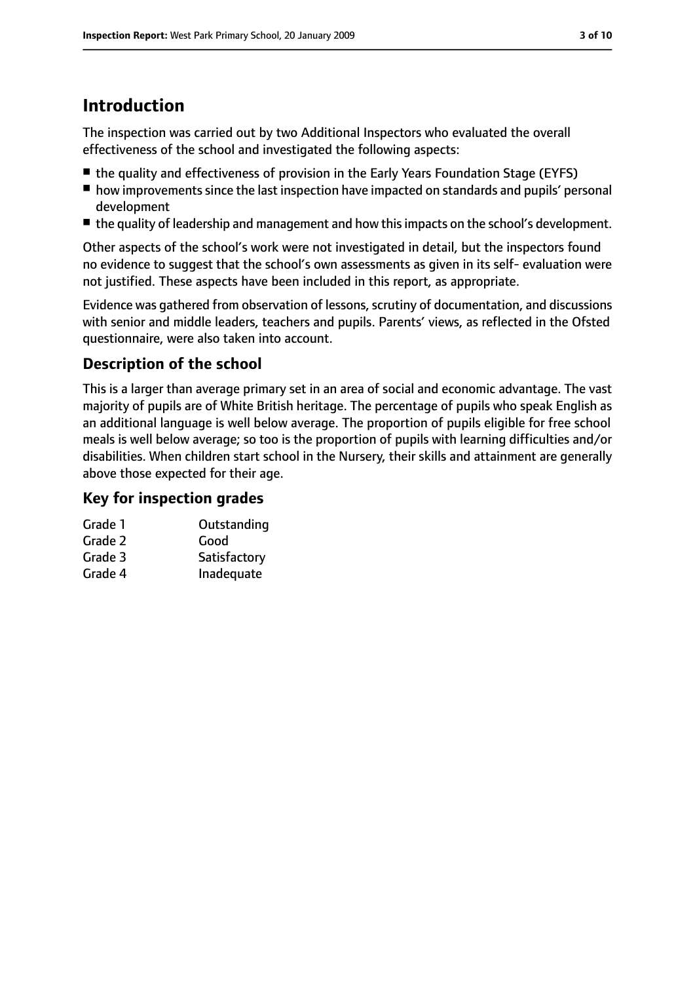# **Introduction**

The inspection was carried out by two Additional Inspectors who evaluated the overall effectiveness of the school and investigated the following aspects:

- the quality and effectiveness of provision in the Early Years Foundation Stage (EYFS)
- how improvements since the last inspection have impacted on standards and pupils' personal development
- the quality of leadership and management and how this impacts on the school's development.

Other aspects of the school's work were not investigated in detail, but the inspectors found no evidence to suggest that the school's own assessments as given in its self- evaluation were not justified. These aspects have been included in this report, as appropriate.

Evidence was gathered from observation of lessons, scrutiny of documentation, and discussions with senior and middle leaders, teachers and pupils. Parents' views, as reflected in the Ofsted questionnaire, were also taken into account.

## **Description of the school**

This is a larger than average primary set in an area of social and economic advantage. The vast majority of pupils are of White British heritage. The percentage of pupils who speak English as an additional language is well below average. The proportion of pupils eligible for free school meals is well below average; so too is the proportion of pupils with learning difficulties and/or disabilities. When children start school in the Nursery, their skills and attainment are generally above those expected for their age.

### **Key for inspection grades**

| Grade 1 | Outstanding  |
|---------|--------------|
| Grade 2 | Good         |
| Grade 3 | Satisfactory |
| Grade 4 | Inadequate   |
|         |              |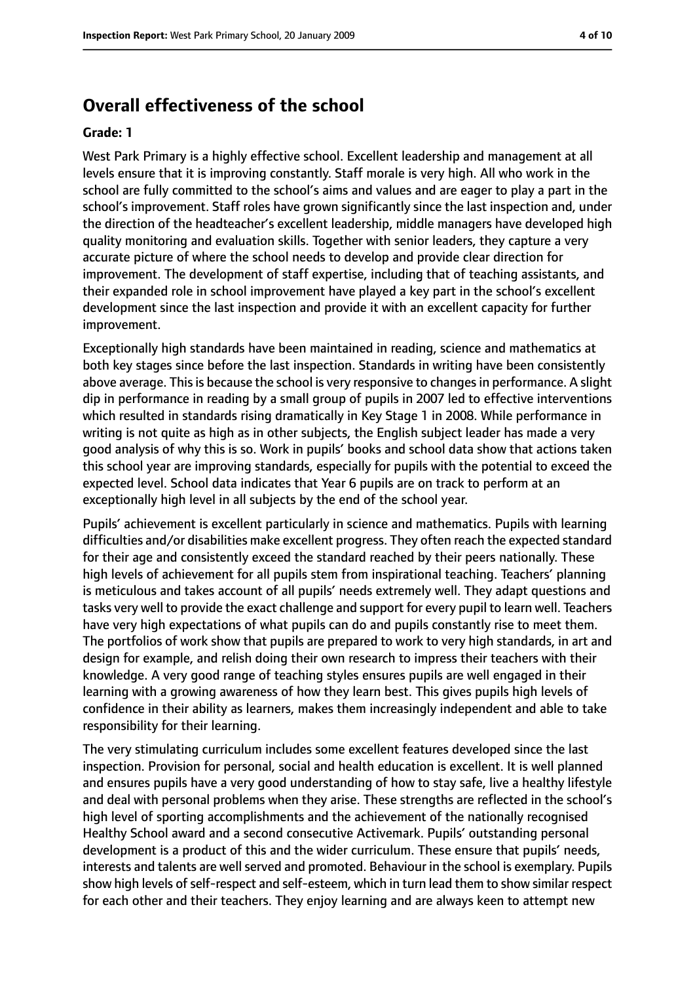# **Overall effectiveness of the school**

#### **Grade: 1**

West Park Primary is a highly effective school. Excellent leadership and management at all levels ensure that it is improving constantly. Staff morale is very high. All who work in the school are fully committed to the school's aims and values and are eager to play a part in the school's improvement. Staff roles have grown significantly since the last inspection and, under the direction of the headteacher's excellent leadership, middle managers have developed high quality monitoring and evaluation skills. Together with senior leaders, they capture a very accurate picture of where the school needs to develop and provide clear direction for improvement. The development of staff expertise, including that of teaching assistants, and their expanded role in school improvement have played a key part in the school's excellent development since the last inspection and provide it with an excellent capacity for further improvement.

Exceptionally high standards have been maintained in reading, science and mathematics at both key stages since before the last inspection. Standards in writing have been consistently above average. This is because the school is very responsive to changes in performance. A slight dip in performance in reading by a small group of pupils in 2007 led to effective interventions which resulted in standards rising dramatically in Key Stage 1 in 2008. While performance in writing is not quite as high as in other subjects, the English subject leader has made a very good analysis of why this is so. Work in pupils' books and school data show that actions taken this school year are improving standards, especially for pupils with the potential to exceed the expected level. School data indicates that Year 6 pupils are on track to perform at an exceptionally high level in all subjects by the end of the school year.

Pupils' achievement is excellent particularly in science and mathematics. Pupils with learning difficulties and/or disabilities make excellent progress. They often reach the expected standard for their age and consistently exceed the standard reached by their peers nationally. These high levels of achievement for all pupils stem from inspirational teaching. Teachers' planning is meticulous and takes account of all pupils' needs extremely well. They adapt questions and tasks very well to provide the exact challenge and support for every pupil to learn well. Teachers have very high expectations of what pupils can do and pupils constantly rise to meet them. The portfolios of work show that pupils are prepared to work to very high standards, in art and design for example, and relish doing their own research to impress their teachers with their knowledge. A very good range of teaching styles ensures pupils are well engaged in their learning with a growing awareness of how they learn best. This gives pupils high levels of confidence in their ability as learners, makes them increasingly independent and able to take responsibility for their learning.

The very stimulating curriculum includes some excellent features developed since the last inspection. Provision for personal, social and health education is excellent. It is well planned and ensures pupils have a very good understanding of how to stay safe, live a healthy lifestyle and deal with personal problems when they arise. These strengths are reflected in the school's high level of sporting accomplishments and the achievement of the nationally recognised Healthy School award and a second consecutive Activemark. Pupils' outstanding personal development is a product of this and the wider curriculum. These ensure that pupils' needs, interests and talents are well served and promoted. Behaviour in the school is exemplary. Pupils show high levels of self-respect and self-esteem, which in turn lead them to show similar respect for each other and their teachers. They enjoy learning and are always keen to attempt new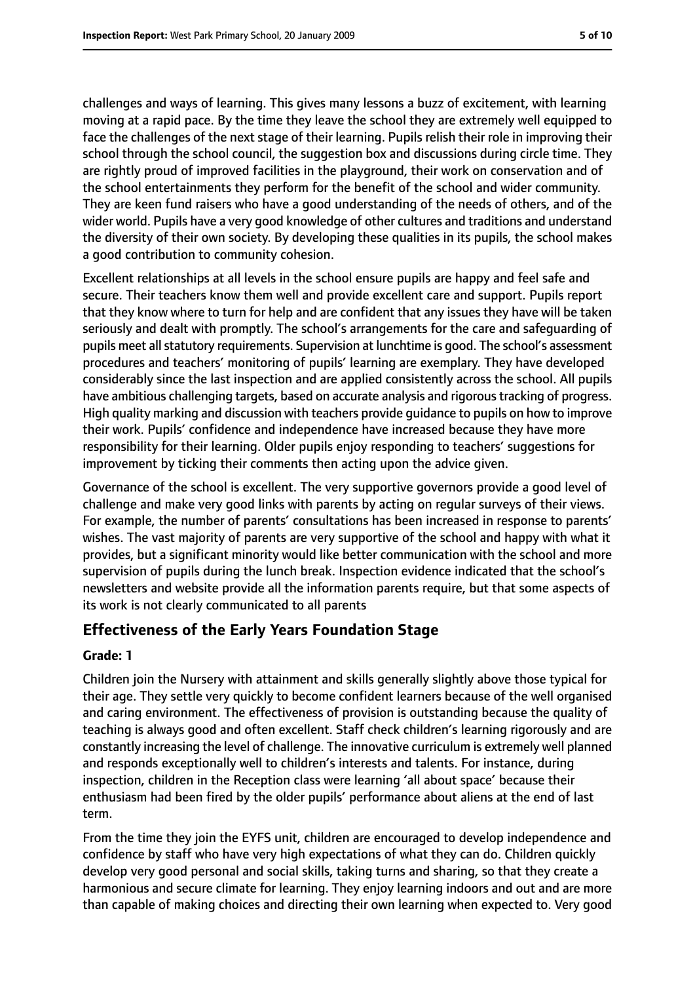challenges and ways of learning. This gives many lessons a buzz of excitement, with learning moving at a rapid pace. By the time they leave the school they are extremely well equipped to face the challenges of the next stage of their learning. Pupils relish their role in improving their school through the school council, the suggestion box and discussions during circle time. They are rightly proud of improved facilities in the playground, their work on conservation and of the school entertainments they perform for the benefit of the school and wider community. They are keen fund raisers who have a good understanding of the needs of others, and of the wider world. Pupils have a very good knowledge of other cultures and traditions and understand the diversity of their own society. By developing these qualities in its pupils, the school makes a good contribution to community cohesion.

Excellent relationships at all levels in the school ensure pupils are happy and feel safe and secure. Their teachers know them well and provide excellent care and support. Pupils report that they know where to turn for help and are confident that any issues they have will be taken seriously and dealt with promptly. The school's arrangements for the care and safeguarding of pupils meet all statutory requirements. Supervision at lunchtime is good. The school's assessment procedures and teachers' monitoring of pupils' learning are exemplary. They have developed considerably since the last inspection and are applied consistently across the school. All pupils have ambitious challenging targets, based on accurate analysis and rigorous tracking of progress. High quality marking and discussion with teachers provide guidance to pupils on how to improve their work. Pupils' confidence and independence have increased because they have more responsibility for their learning. Older pupils enjoy responding to teachers' suggestions for improvement by ticking their comments then acting upon the advice given.

Governance of the school is excellent. The very supportive governors provide a good level of challenge and make very good links with parents by acting on regular surveys of their views. For example, the number of parents' consultations has been increased in response to parents' wishes. The vast majority of parents are very supportive of the school and happy with what it provides, but a significant minority would like better communication with the school and more supervision of pupils during the lunch break. Inspection evidence indicated that the school's newsletters and website provide all the information parents require, but that some aspects of its work is not clearly communicated to all parents

## **Effectiveness of the Early Years Foundation Stage**

#### **Grade: 1**

Children join the Nursery with attainment and skills generally slightly above those typical for their age. They settle very quickly to become confident learners because of the well organised and caring environment. The effectiveness of provision is outstanding because the quality of teaching is always good and often excellent. Staff check children's learning rigorously and are constantly increasing the level of challenge. The innovative curriculum is extremely well planned and responds exceptionally well to children's interests and talents. For instance, during inspection, children in the Reception class were learning 'all about space' because their enthusiasm had been fired by the older pupils' performance about aliens at the end of last term.

From the time they join the EYFS unit, children are encouraged to develop independence and confidence by staff who have very high expectations of what they can do. Children quickly develop very good personal and social skills, taking turns and sharing, so that they create a harmonious and secure climate for learning. They enjoy learning indoors and out and are more than capable of making choices and directing their own learning when expected to. Very good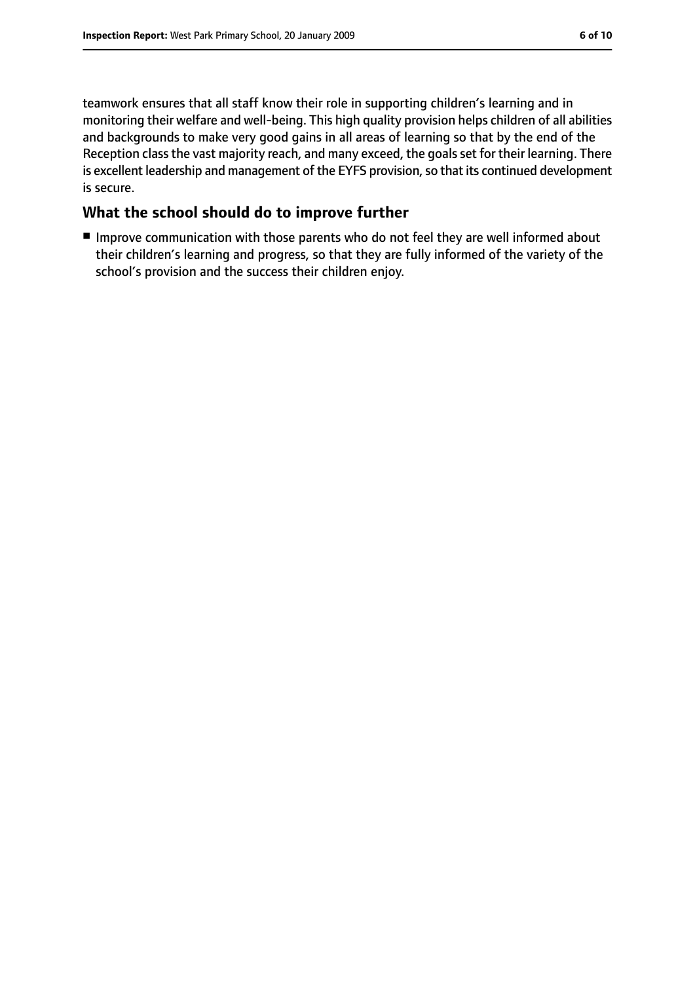teamwork ensures that all staff know their role in supporting children's learning and in monitoring their welfare and well-being. This high quality provision helps children of all abilities and backgrounds to make very good gains in all areas of learning so that by the end of the Reception class the vast majority reach, and many exceed, the goals set for their learning. There is excellent leadership and management of the EYFS provision, so that its continued development is secure.

#### **What the school should do to improve further**

■ Improve communication with those parents who do not feel they are well informed about their children's learning and progress, so that they are fully informed of the variety of the school's provision and the success their children enjoy.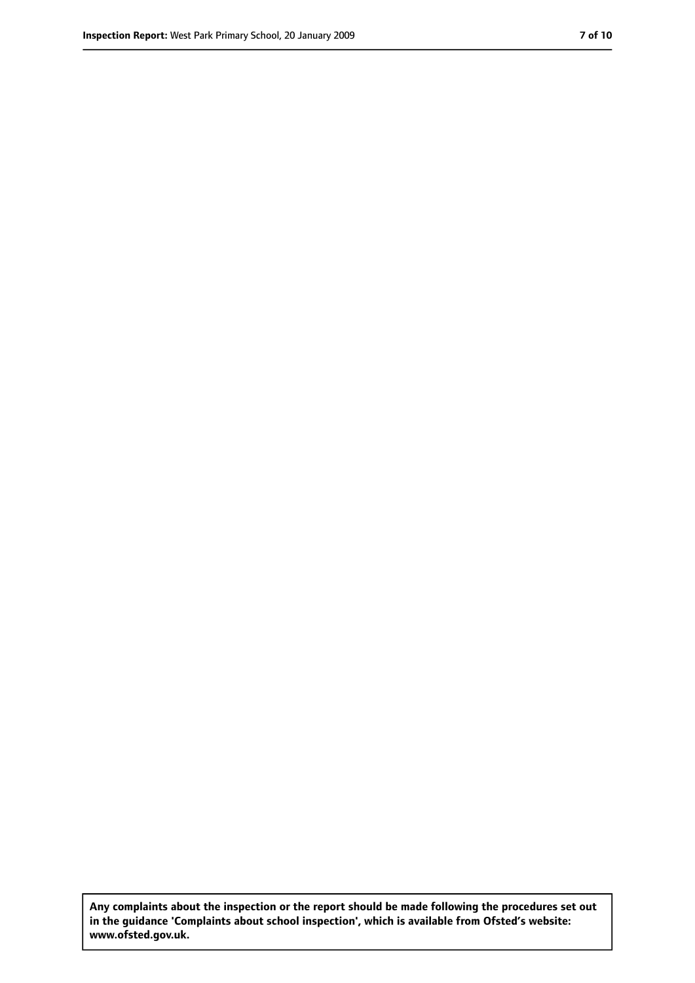**Any complaints about the inspection or the report should be made following the procedures set out in the guidance 'Complaints about school inspection', which is available from Ofsted's website: www.ofsted.gov.uk.**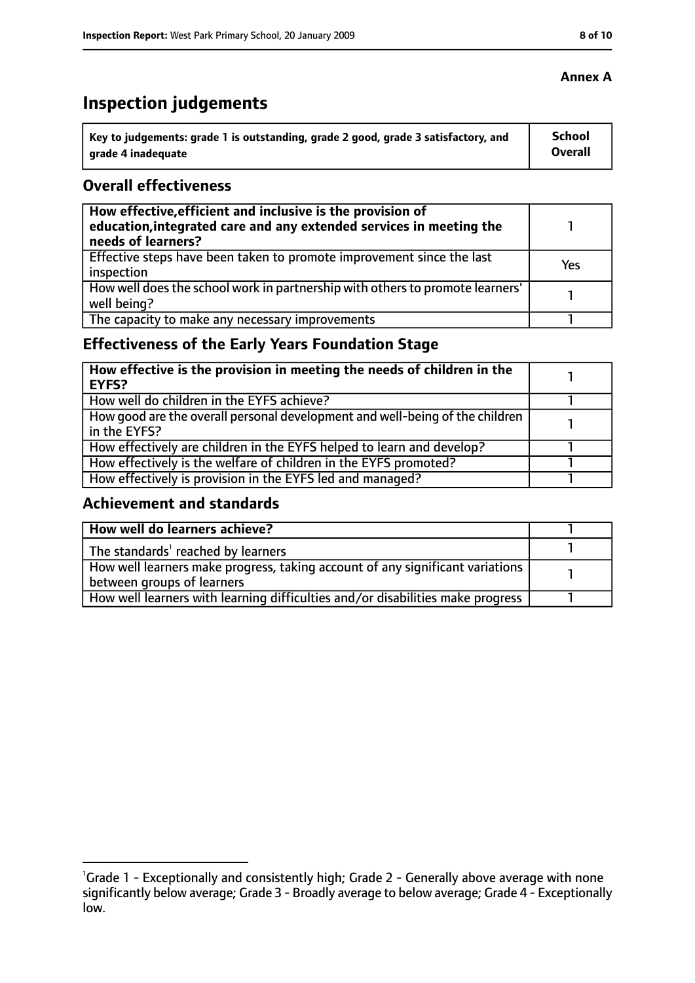# **Inspection judgements**

| \ Key to judgements: grade 1 is outstanding, grade 2 good, grade 3 satisfactory, and | <b>School</b>  |
|--------------------------------------------------------------------------------------|----------------|
| arade 4 inadequate                                                                   | <b>Overall</b> |

#### **Overall effectiveness**

| How effective, efficient and inclusive is the provision of<br>education, integrated care and any extended services in meeting the<br>needs of learners? |     |
|---------------------------------------------------------------------------------------------------------------------------------------------------------|-----|
| Effective steps have been taken to promote improvement since the last<br>inspection                                                                     | Yes |
| How well does the school work in partnership with others to promote learners'<br>well being?                                                            |     |
| The capacity to make any necessary improvements                                                                                                         |     |

# **Effectiveness of the Early Years Foundation Stage**

| How effective is the provision in meeting the needs of children in the<br>l EYFS?            |  |
|----------------------------------------------------------------------------------------------|--|
| How well do children in the EYFS achieve?                                                    |  |
| How good are the overall personal development and well-being of the children<br>in the EYFS? |  |
| How effectively are children in the EYFS helped to learn and develop?                        |  |
| How effectively is the welfare of children in the EYFS promoted?                             |  |
| How effectively is provision in the EYFS led and managed?                                    |  |

#### **Achievement and standards**

| How well do learners achieve?                                                  |  |
|--------------------------------------------------------------------------------|--|
| The standards <sup>1</sup> reached by learners                                 |  |
| How well learners make progress, taking account of any significant variations  |  |
| between groups of learners                                                     |  |
| How well learners with learning difficulties and/or disabilities make progress |  |

#### **Annex A**

<sup>&</sup>lt;sup>1</sup>Grade 1 - Exceptionally and consistently high; Grade 2 - Generally above average with none significantly below average; Grade 3 - Broadly average to below average; Grade 4 - Exceptionally low.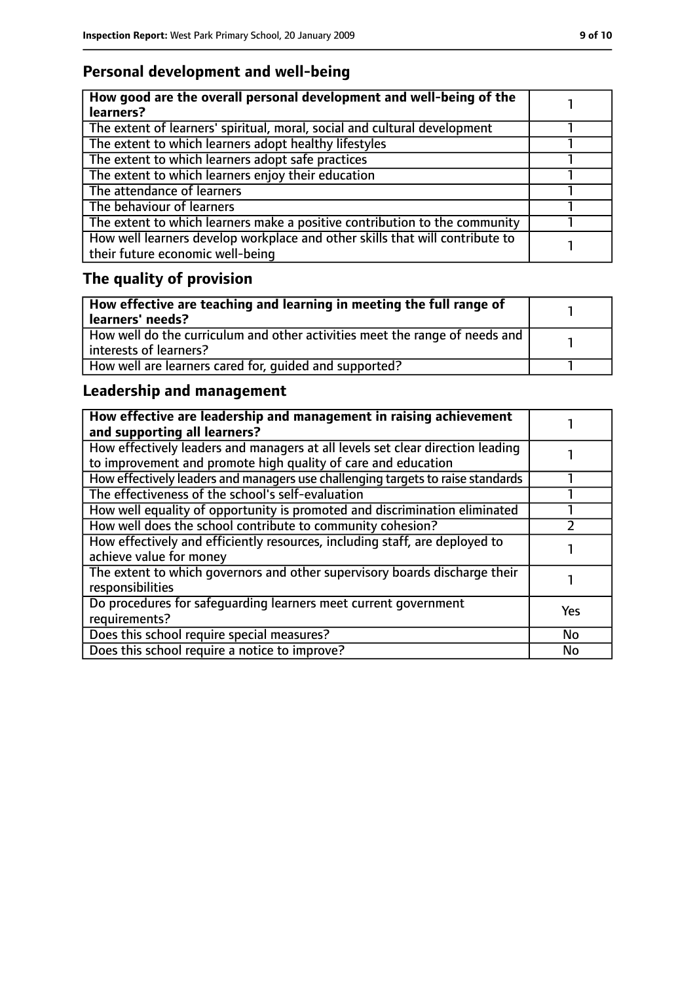# **Personal development and well-being**

| How good are the overall personal development and well-being of the<br>learners?                                 |  |
|------------------------------------------------------------------------------------------------------------------|--|
| The extent of learners' spiritual, moral, social and cultural development                                        |  |
| The extent to which learners adopt healthy lifestyles                                                            |  |
| The extent to which learners adopt safe practices                                                                |  |
| The extent to which learners enjoy their education                                                               |  |
| The attendance of learners                                                                                       |  |
| The behaviour of learners                                                                                        |  |
| The extent to which learners make a positive contribution to the community                                       |  |
| How well learners develop workplace and other skills that will contribute to<br>their future economic well-being |  |

# **The quality of provision**

| How effective are teaching and learning in meeting the full range of<br>learners' needs?              |  |
|-------------------------------------------------------------------------------------------------------|--|
| How well do the curriculum and other activities meet the range of needs and<br>interests of learners? |  |
| How well are learners cared for, quided and supported?                                                |  |

# **Leadership and management**

| How effective are leadership and management in raising achievement<br>and supporting all learners?                                              |            |
|-------------------------------------------------------------------------------------------------------------------------------------------------|------------|
| How effectively leaders and managers at all levels set clear direction leading<br>to improvement and promote high quality of care and education |            |
| How effectively leaders and managers use challenging targets to raise standards                                                                 |            |
| The effectiveness of the school's self-evaluation                                                                                               |            |
| How well equality of opportunity is promoted and discrimination eliminated                                                                      |            |
| How well does the school contribute to community cohesion?                                                                                      |            |
| How effectively and efficiently resources, including staff, are deployed to<br>achieve value for money                                          |            |
| The extent to which governors and other supervisory boards discharge their<br>responsibilities                                                  |            |
| Do procedures for safequarding learners meet current government<br>requirements?                                                                | <b>Yes</b> |
| Does this school require special measures?                                                                                                      | <b>No</b>  |
| Does this school require a notice to improve?                                                                                                   | No         |